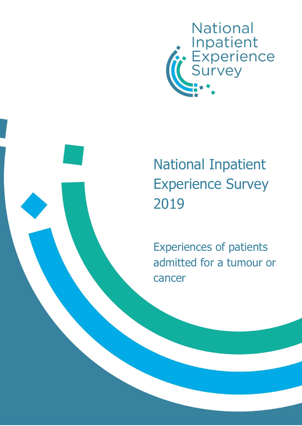

# National Inpatient Experience Survey 2019

Experiences of patients admitted for a tumour or cancer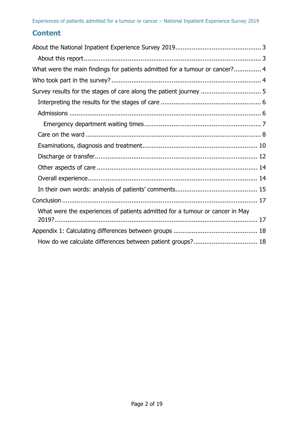# **Content**

| What were the main findings for patients admitted for a tumour or cancer? 4  |
|------------------------------------------------------------------------------|
|                                                                              |
|                                                                              |
|                                                                              |
|                                                                              |
|                                                                              |
|                                                                              |
|                                                                              |
|                                                                              |
|                                                                              |
|                                                                              |
|                                                                              |
|                                                                              |
| What were the experiences of patients admitted for a tumour or cancer in May |
|                                                                              |
|                                                                              |
| How do we calculate differences between patient groups? 18                   |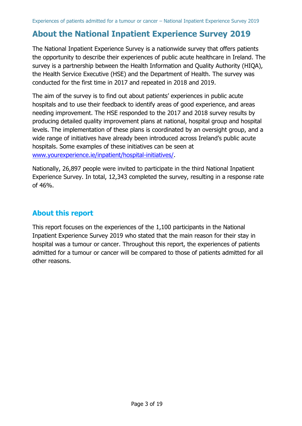# <span id="page-2-0"></span>**About the National Inpatient Experience Survey 2019**

The National Inpatient Experience Survey is a nationwide survey that offers patients the opportunity to describe their experiences of public acute healthcare in Ireland. The survey is a partnership between the Health Information and Quality Authority (HIQA), the Health Service Executive (HSE) and the Department of Health. The survey was conducted for the first time in 2017 and repeated in 2018 and 2019.

The aim of the survey is to find out about patients' experiences in public acute hospitals and to use their feedback to identify areas of good experience, and areas needing improvement. The HSE responded to the 2017 and 2018 survey results by producing detailed quality improvement plans at national, hospital group and hospital levels. The implementation of these plans is coordinated by an oversight group, and a wide range of initiatives have already been introduced across Ireland's public acute hospitals. Some examples of these initiatives can be seen at [www.yourexperience.ie/inpatient/hospital-initiatives/.](http://www.yourexperience.ie/inpatient/hospital-initiatives/)

Nationally, 26,897 people were invited to participate in the third National Inpatient Experience Survey. In total, 12,343 completed the survey, resulting in a response rate of 46%.

# <span id="page-2-1"></span>**About this report**

This report focuses on the experiences of the 1,100 participants in the National Inpatient Experience Survey 2019 who stated that the main reason for their stay in hospital was a tumour or cancer. Throughout this report, the experiences of patients admitted for a tumour or cancer will be compared to those of patients admitted for all other reasons.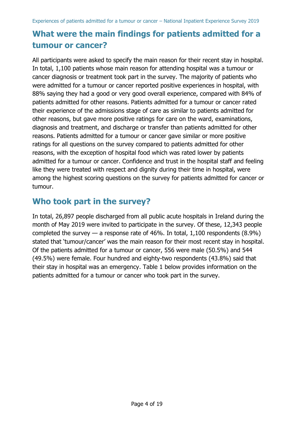# <span id="page-3-0"></span>**What were the main findings for patients admitted for a tumour or cancer?**

All participants were asked to specify the main reason for their recent stay in hospital. In total, 1,100 patients whose main reason for attending hospital was a tumour or cancer diagnosis or treatment took part in the survey. The majority of patients who were admitted for a tumour or cancer reported positive experiences in hospital, with 88% saying they had a good or very good overall experience, compared with 84% of patients admitted for other reasons. Patients admitted for a tumour or cancer rated their experience of the admissions stage of care as similar to patients admitted for other reasons, but gave more positive ratings for care on the ward, examinations, diagnosis and treatment, and discharge or transfer than patients admitted for other reasons. Patients admitted for a tumour or cancer gave similar or more positive ratings for all questions on the survey compared to patients admitted for other reasons, with the exception of hospital food which was rated lower by patients admitted for a tumour or cancer. Confidence and trust in the hospital staff and feeling like they were treated with respect and dignity during their time in hospital, were among the highest scoring questions on the survey for patients admitted for cancer or tumour.

# <span id="page-3-1"></span>**Who took part in the survey?**

In total, 26,897 people discharged from all public acute hospitals in Ireland during the month of May 2019 were invited to participate in the survey. Of these, 12,343 people completed the survey  $-$  a response rate of 46%. In total, 1,100 respondents (8.9%) stated that 'tumour/cancer' was the main reason for their most recent stay in hospital. Of the patients admitted for a tumour or cancer, 556 were male (50.5%) and 544 (49.5%) were female. Four hundred and eighty-two respondents (43.8%) said that their stay in hospital was an emergency. Table 1 below provides information on the patients admitted for a tumour or cancer who took part in the survey.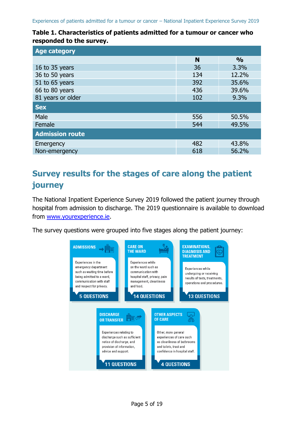**Table 1. Characteristics of patients admitted for a tumour or cancer who responded to the survey.**

| <b>Age category</b>    |     |               |
|------------------------|-----|---------------|
|                        | N   | $\frac{0}{0}$ |
| 16 to 35 years         | 36  | 3.3%          |
| 36 to 50 years         | 134 | 12.2%         |
| 51 to 65 years         | 392 | 35.6%         |
| 66 to 80 years         | 436 | 39.6%         |
| 81 years or older      | 102 | 9.3%          |
| <b>Sex</b>             |     |               |
| Male                   | 556 | 50.5%         |
| Female                 | 544 | 49.5%         |
| <b>Admission route</b> |     |               |
| Emergency              | 482 | 43.8%         |
| Non-emergency          | 618 | 56.2%         |

# <span id="page-4-0"></span>**Survey results for the stages of care along the patient journey**

The National Inpatient Experience Survey 2019 followed the patient journey through hospital from admission to discharge. The 2019 questionnaire is available to download from [www.yourexperience.ie.](https://yourexperience.ie/)

The survey questions were grouped into five stages along the patient journey:

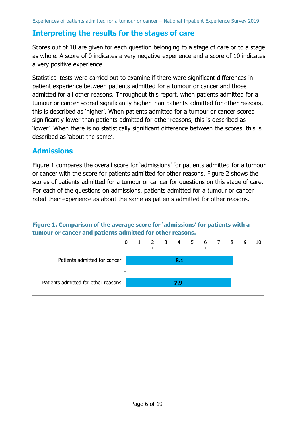## <span id="page-5-0"></span>**Interpreting the results for the stages of care**

Scores out of 10 are given for each question belonging to a stage of care or to a stage as whole. A score of 0 indicates a very negative experience and a score of 10 indicates a very positive experience.

Statistical tests were carried out to examine if there were significant differences in patient experience between patients admitted for a tumour or cancer and those admitted for all other reasons. Throughout this report, when patients admitted for a tumour or cancer scored significantly higher than patients admitted for other reasons, this is described as 'higher'. When patients admitted for a tumour or cancer scored significantly lower than patients admitted for other reasons, this is described as 'lower'. When there is no statistically significant difference between the scores, this is described as 'about the same'.

## <span id="page-5-1"></span>**Admissions**

Figure 1 compares the overall score for 'admissions' for patients admitted for a tumour or cancer with the score for patients admitted for other reasons. Figure 2 shows the scores of patients admitted for a tumour or cancer for questions on this stage of care. For each of the questions on admissions, patients admitted for a tumour or cancer rated their experience as about the same as patients admitted for other reasons.

#### **Figure 1. Comparison of the average score for 'admissions' for patients with a tumour or cancer and patients admitted for other reasons.**

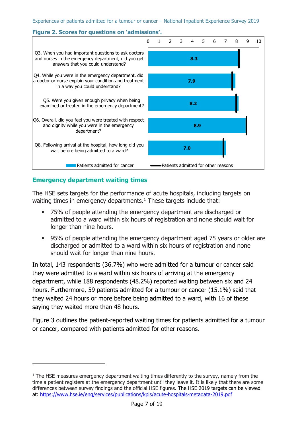#### **Figure 2. Scores for questions on 'admissions'.**



#### <span id="page-6-0"></span>**Emergency department waiting times**

 $\overline{a}$ 

The HSE sets targets for the performance of acute hospitals, including targets on waiting times in emergency departments.<sup>1</sup> These targets include that:

- 75% of people attending the emergency department are discharged or admitted to a ward within six hours of registration and none should wait for longer than nine hours.
- 95% of people attending the emergency department aged 75 years or older are discharged or admitted to a ward within six hours of registration and none should wait for longer than nine hours.

In total, 143 respondents (36.7%) who were admitted for a tumour or cancer said they were admitted to a ward within six hours of arriving at the emergency department, while 188 respondents (48.2%) reported waiting between six and 24 hours. Furthermore, 59 patients admitted for a tumour or cancer (15.1%) said that they waited 24 hours or more before being admitted to a ward, with 16 of these saying they waited more than 48 hours.

Figure 3 outlines the patient-reported waiting times for patients admitted for a tumour or cancer, compared with patients admitted for other reasons.

 $<sup>1</sup>$  The HSE measures emergency department waiting times differently to the survey, namely from the</sup> time a patient registers at the emergency department until they leave it. It is likely that there are some differences between survey findings and the official HSE figures. The HSE 2019 targets can be viewed at:<https://www.hse.ie/eng/services/publications/kpis/acute-hospitals-metadata-2019.pdf>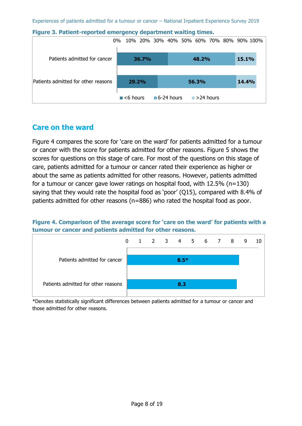Experiences of patients admitted for a tumour or cancer – National Inpatient Experience Survey 2019

|                                     | 0%                      |       |                           |  |                                |  |       | 10% 20% 30% 40% 50% 60% 70% 80% 90% 100% |
|-------------------------------------|-------------------------|-------|---------------------------|--|--------------------------------|--|-------|------------------------------------------|
| Patients admitted for cancer        |                         | 36.7% |                           |  | 48.2%                          |  | 15.1% |                                          |
| Patients admitted for other reasons |                         | 29.2% |                           |  | 56.3%                          |  | 14.4% |                                          |
|                                     | $\blacksquare$ <6 hours |       | $\blacksquare$ 6-24 hours |  | $\blacktriangleright$ 24 hours |  |       |                                          |

#### **Figure 3. Patient-reported emergency department waiting times.**

## <span id="page-7-0"></span>**Care on the ward**

Figure 4 compares the score for 'care on the ward' for patients admitted for a tumour or cancer with the score for patients admitted for other reasons. Figure 5 shows the scores for questions on this stage of care. For most of the questions on this stage of care, patients admitted for a tumour or cancer rated their experience as higher or about the same as patients admitted for other reasons. However, patients admitted for a tumour or cancer gave lower ratings on hospital food, with 12.5% (n=130) saying that they would rate the hospital food as 'poor' (Q15), compared with 8.4% of patients admitted for other reasons (n=886) who rated the hospital food as poor.

#### **Figure 4. Comparison of the average score for 'care on the ward' for patients with a tumour or cancer and patients admitted for other reasons.**

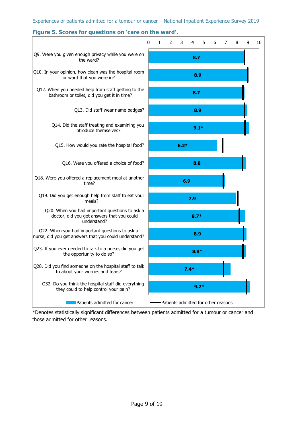Experiences of patients admitted for a tumour or cancer – National Inpatient Experience Survey 2019

#### **Figure 5. Scores for questions on 'care on the ward'.**

|                                                                                                             | 0 | 1 | 2 | 3      | 4                                   | 5.     | 6 | 7 | 8 | 9 | 10 |
|-------------------------------------------------------------------------------------------------------------|---|---|---|--------|-------------------------------------|--------|---|---|---|---|----|
| Q9. Were you given enough privacy while you were on<br>the ward?                                            |   |   |   |        | 8.7                                 |        |   |   |   |   |    |
| Q10. In your opinion, how clean was the hospital room<br>or ward that you were in?                          |   |   |   |        | 8.9                                 |        |   |   |   |   |    |
| Q12. When you needed help from staff getting to the<br>bathroom or toilet, did you get it in time?          |   |   |   |        | 8.7                                 |        |   |   |   |   |    |
| Q13. Did staff wear name badges?                                                                            |   |   |   |        | 8.9                                 |        |   |   |   |   |    |
| Q14. Did the staff treating and examining you<br>introduce themselves?                                      |   |   |   |        | $9.1*$                              |        |   |   |   |   |    |
| Q15. How would you rate the hospital food?                                                                  |   |   |   | $6.2*$ |                                     |        |   |   |   |   |    |
| Q16. Were you offered a choice of food?                                                                     |   |   |   |        | 8.8                                 |        |   |   |   |   |    |
| Q18. Were you offered a replacement meal at another<br>time?                                                |   |   |   |        | 6.9                                 |        |   |   |   |   |    |
| Q19. Did you get enough help from staff to eat your<br>meals?                                               |   |   |   |        | 7.9                                 |        |   |   |   |   |    |
| Q20. When you had important questions to ask a<br>doctor, did you get answers that you could<br>understand? |   |   |   |        | $8.7*$                              |        |   |   |   |   |    |
| Q22. When you had important questions to ask a<br>nurse, did you get answers that you could understand?     |   |   |   |        | 8.9                                 |        |   |   |   |   |    |
| Q23. If you ever needed to talk to a nurse, did you get<br>the opportunity to do so?                        |   |   |   |        | $8.8*$                              |        |   |   |   |   |    |
| Q28. Did you find someone on the hospital staff to talk<br>to about your worries and fears?                 |   |   |   |        | $7.4*$                              |        |   |   |   |   |    |
| Q32. Do you think the hospital staff did everything<br>they could to help control your pain?                |   |   |   |        |                                     | $9.2*$ |   |   |   |   |    |
| Patients admitted for cancer                                                                                |   |   |   |        | Patients admitted for other reasons |        |   |   |   |   |    |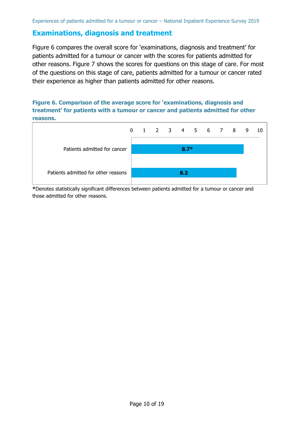### <span id="page-9-0"></span>**Examinations, diagnosis and treatment**

Figure 6 compares the overall score for 'examinations, diagnosis and treatment' for patients admitted for a tumour or cancer with the scores for patients admitted for other reasons. Figure 7 shows the scores for questions on this stage of care. For most of the questions on this stage of care, patients admitted for a tumour or cancer rated their experience as higher than patients admitted for other reasons.

#### **Figure 6. Comparison of the average score for 'examinations, diagnosis and treatment' for patients with a tumour or cancer and patients admitted for other reasons.**

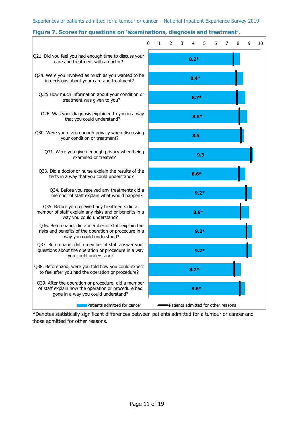Ė

#### **Figure 7. Scores for questions on 'examinations, diagnosis and treatment'.**

|                                                                                                                                                   | 0 | 1 | $\mathcal{L}$ | 3 | 4                                   | 5      | 6 | 7 | 8 | 9 | 10 |
|---------------------------------------------------------------------------------------------------------------------------------------------------|---|---|---------------|---|-------------------------------------|--------|---|---|---|---|----|
| Q21. Did you feel you had enough time to discuss your<br>care and treatment with a doctor?                                                        |   |   |               |   | $8.2*$                              |        |   |   |   |   |    |
| Q24. Were you involved as much as you wanted to be<br>in decisions about your care and treatment?                                                 |   |   |               |   | $8.4*$                              |        |   |   |   |   |    |
| Q.25 How much information about your condition or<br>treatment was given to you?                                                                  |   |   |               |   | $8.7*$                              |        |   |   |   |   |    |
| Q26. Was your diagnosis explained to you in a way<br>that you could understand?                                                                   |   |   |               |   | $8.8*$                              |        |   |   |   |   |    |
| Q30. Were you given enough privacy when discussing<br>your condition or treatment?                                                                |   |   |               |   | 8.5                                 |        |   |   |   |   |    |
| Q31. Were you given enough privacy when being<br>examined or treated?                                                                             |   |   |               |   |                                     | 9.3    |   |   |   |   |    |
| Q33. Did a doctor or nurse explain the results of the<br>tests in a way that you could understand?                                                |   |   |               |   | $8.6*$                              |        |   |   |   |   |    |
| Q34. Before you received any treatments did a<br>member of staff explain what would happen?                                                       |   |   |               |   |                                     | $9.2*$ |   |   |   |   |    |
| Q35. Before you received any treatments did a<br>member of staff explain any risks and or benefits in a<br>way you could understand?              |   |   |               |   | $8.9*$                              |        |   |   |   |   |    |
| Q36. Beforehand, did a member of staff explain the<br>risks and benefits of the operation or procedure in a<br>way you could understand?          |   |   |               |   |                                     | $9.2*$ |   |   |   |   |    |
| Q37. Beforehand, did a member of staff answer your<br>questions about the operation or procedure in a way<br>you could understand?                |   |   |               |   |                                     | 9.2*   |   |   |   |   |    |
| Q38. Beforehand, were you told how you could expect<br>to feel after you had the operation or procedure?                                          |   |   |               |   | $8.2*$                              |        |   |   |   |   |    |
| Q39. After the operation or procedure, did a member<br>of staff explain how the operation or procedure had<br>gone in a way you could understand? |   |   |               |   | $8.6*$                              |        |   |   |   |   |    |
| Patients admitted for cancer                                                                                                                      |   |   |               |   | Patients admitted for other reasons |        |   |   |   |   |    |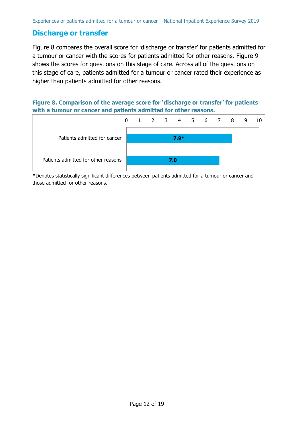## <span id="page-11-0"></span>**Discharge or transfer**

Figure 8 compares the overall score for 'discharge or transfer' for patients admitted for a tumour or cancer with the scores for patients admitted for other reasons. Figure 9 shows the scores for questions on this stage of care. Across all of the questions on this stage of care, patients admitted for a tumour or cancer rated their experience as higher than patients admitted for other reasons.

#### **Figure 8. Comparison of the average score for 'discharge or transfer' for patients with a tumour or cancer and patients admitted for other reasons.**

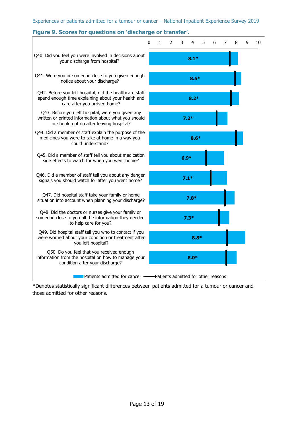## **Figure 9. Scores for questions on 'discharge or transfer'.**

|                                                                                                                                                       | 0 | 1 | 2 | 3      | 4      | 5 | 6 | 7 | 8 | 9 | 10 |
|-------------------------------------------------------------------------------------------------------------------------------------------------------|---|---|---|--------|--------|---|---|---|---|---|----|
| Q40. Did you feel you were involved in decisions about<br>your discharge from hospital?                                                               |   |   |   |        | $8.1*$ |   |   |   |   |   |    |
| Q41. Were you or someone close to you given enough<br>notice about your discharge?                                                                    |   |   |   |        | $8.5*$ |   |   |   |   |   |    |
| Q42. Before you left hospital, did the healthcare staff<br>spend enough time explaining about your health and<br>care after you arrived home?         |   |   |   |        | $8.2*$ |   |   |   |   |   |    |
| Q43. Before you left hospital, were you given any<br>written or printed information about what you should<br>or should not do after leaving hospital? |   |   |   |        | $7.2*$ |   |   |   |   |   |    |
| Q44. Did a member of staff explain the purpose of the<br>medicines you were to take at home in a way you<br>could understand?                         |   |   |   |        | $8.6*$ |   |   |   |   |   |    |
| Q45. Did a member of staff tell you about medication<br>side effects to watch for when you went home?                                                 |   |   |   | $6.9*$ |        |   |   |   |   |   |    |
| Q46. Did a member of staff tell you about any danger<br>signals you should watch for after you went home?                                             |   |   |   |        | $7.1*$ |   |   |   |   |   |    |
| Q47. Did hospital staff take your family or home<br>situation into account when planning your discharge?                                              |   |   |   |        | $7.8*$ |   |   |   |   |   |    |
| Q48. Did the doctors or nurses give your family or<br>someone close to you all the information they needed<br>to help care for you?                   |   |   |   |        | $7.3*$ |   |   |   |   |   |    |
| Q49. Did hospital staff tell you who to contact if you<br>were worried about your condition or treatment after<br>you left hospital?                  |   |   |   |        | $8.8*$ |   |   |   |   |   |    |
| Q50. Do you feel that you received enough<br>information from the hospital on how to manage your<br>condition after your discharge?                   |   |   |   |        | $8.0*$ |   |   |   |   |   |    |
| <b>Patients admitted for cancer seems Patients admitted for other reasons</b>                                                                         |   |   |   |        |        |   |   |   |   |   |    |
| $*$ Denates statistically significant differences between patients admitted for a tumour or sanser and                                                |   |   |   |        |        |   |   |   |   |   |    |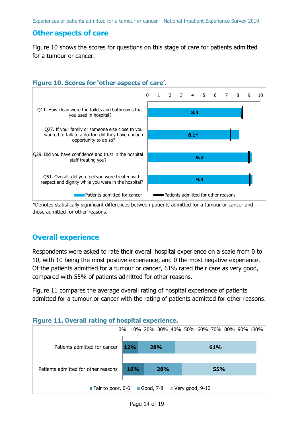## <span id="page-13-0"></span>**Other aspects of care**

Figure 10 shows the scores for questions on this stage of care for patients admitted for a tumour or cancer.



#### **Figure 10. Scores for 'other aspects of care'.**

\*Denotes statistically significant differences between patients admitted for a tumour or cancer and those admitted for other reasons.

# <span id="page-13-1"></span>**Overall experience**

Respondents were asked to rate their overall hospital experience on a scale from 0 to 10, with 10 being the most positive experience, and 0 the most negative experience. Of the patients admitted for a tumour or cancer, 61% rated their care as very good, compared with 55% of patients admitted for other reasons.

Figure 11 compares the average overall rating of hospital experience of patients admitted for a tumour or cancer with the rating of patients admitted for other reasons.

#### **Figure 11. Overall rating of hospital experience.**

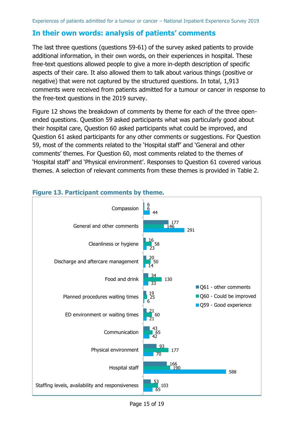## <span id="page-14-0"></span>**In their own words: analysis of patients' comments**

The last three questions (questions 59-61) of the survey asked patients to provide additional information, in their own words, on their experiences in hospital. These free-text questions allowed people to give a more in-depth description of specific aspects of their care. It also allowed them to talk about various things (positive or negative) that were not captured by the structured questions. In total, 1,913 comments were received from patients admitted for a tumour or cancer in response to the free-text questions in the 2019 survey.

Figure 12 shows the breakdown of comments by theme for each of the three openended questions. Question 59 asked participants what was particularly good about their hospital care, Question 60 asked participants what could be improved, and Question 61 asked participants for any other comments or suggestions. For Question 59, most of the comments related to the 'Hospital staff' and 'General and other comments' themes. For Question 60, most comments related to the themes of 'Hospital staff' and 'Physical environment'. Responses to Question 61 covered various themes. A selection of relevant comments from these themes is provided in Table 2.



## **Figure 13. Participant comments by theme.**

Page 15 of 19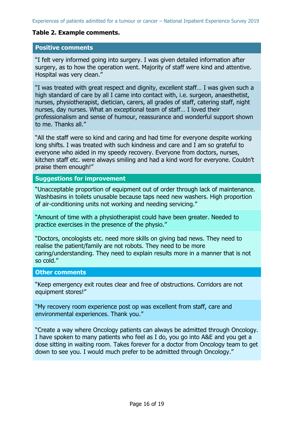#### **Table 2. Example comments.**

#### **Positive comments**

"I felt very informed going into surgery. I was given detailed information after surgery, as to how the operation went. Majority of staff were kind and attentive. Hospital was very clean."

"I was treated with great respect and dignity, excellent staff… I was given such a high standard of care by all I came into contact with, i.e. surgeon, anaesthetist, nurses, physiotherapist, dietician, carers, all grades of staff, catering staff, night nurses, day nurses. What an exceptional team of staff… I loved their professionalism and sense of humour, reassurance and wonderful support shown to me. Thanks all."

"All the staff were so kind and caring and had time for everyone despite working long shifts. I was treated with such kindness and care and I am so grateful to everyone who aided in my speedy recovery. Everyone from doctors, nurses, kitchen staff etc. were always smiling and had a kind word for everyone. Couldn't praise them enough!"

#### **Suggestions for improvement**

"Unacceptable proportion of equipment out of order through lack of maintenance. Washbasins in toilets unusable because taps need new washers. High proportion of air-conditioning units not working and needing servicing."

"Amount of time with a physiotherapist could have been greater. Needed to practice exercises in the presence of the physio."

"Doctors, oncologists etc. need more skills on giving bad news. They need to realise the patient/family are not robots. They need to be more caring/understanding. They need to explain results more in a manner that is not so cold."

#### **Other comments**

"Keep emergency exit routes clear and free of obstructions. Corridors are not equipment stores!"

"My recovery room experience post op was excellent from staff, care and environmental experiences. Thank you."

"Create a way where Oncology patients can always be admitted through Oncology. I have spoken to many patients who feel as I do, you go into A&E and you get a dose sitting in waiting room. Takes forever for a doctor from Oncology team to get down to see you. I would much prefer to be admitted through Oncology."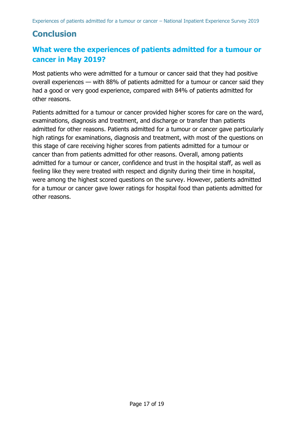# <span id="page-16-0"></span>**Conclusion**

# <span id="page-16-1"></span>**What were the experiences of patients admitted for a tumour or cancer in May 2019?**

Most patients who were admitted for a tumour or cancer said that they had positive overall experiences — with 88% of patients admitted for a tumour or cancer said they had a good or very good experience, compared with 84% of patients admitted for other reasons.

Patients admitted for a tumour or cancer provided higher scores for care on the ward, examinations, diagnosis and treatment, and discharge or transfer than patients admitted for other reasons. Patients admitted for a tumour or cancer gave particularly high ratings for examinations, diagnosis and treatment, with most of the questions on this stage of care receiving higher scores from patients admitted for a tumour or cancer than from patients admitted for other reasons. Overall, among patients admitted for a tumour or cancer, confidence and trust in the hospital staff, as well as feeling like they were treated with respect and dignity during their time in hospital, were among the highest scored questions on the survey. However, patients admitted for a tumour or cancer gave lower ratings for hospital food than patients admitted for other reasons.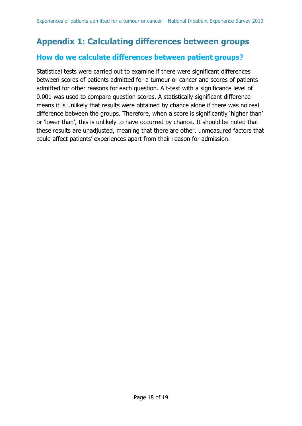# <span id="page-17-0"></span>**Appendix 1: Calculating differences between groups**

# <span id="page-17-1"></span>**How do we calculate differences between patient groups?**

Statistical tests were carried out to examine if there were significant differences between scores of patients admitted for a tumour or cancer and scores of patients admitted for other reasons for each question. A t-test with a significance level of 0.001 was used to compare question scores. A statistically significant difference means it is unlikely that results were obtained by chance alone if there was no real difference between the groups. Therefore, when a score is significantly 'higher than' or 'lower than', this is unlikely to have occurred by chance. It should be noted that these results are unadjusted, meaning that there are other, unmeasured factors that could affect patients' experiences apart from their reason for admission.